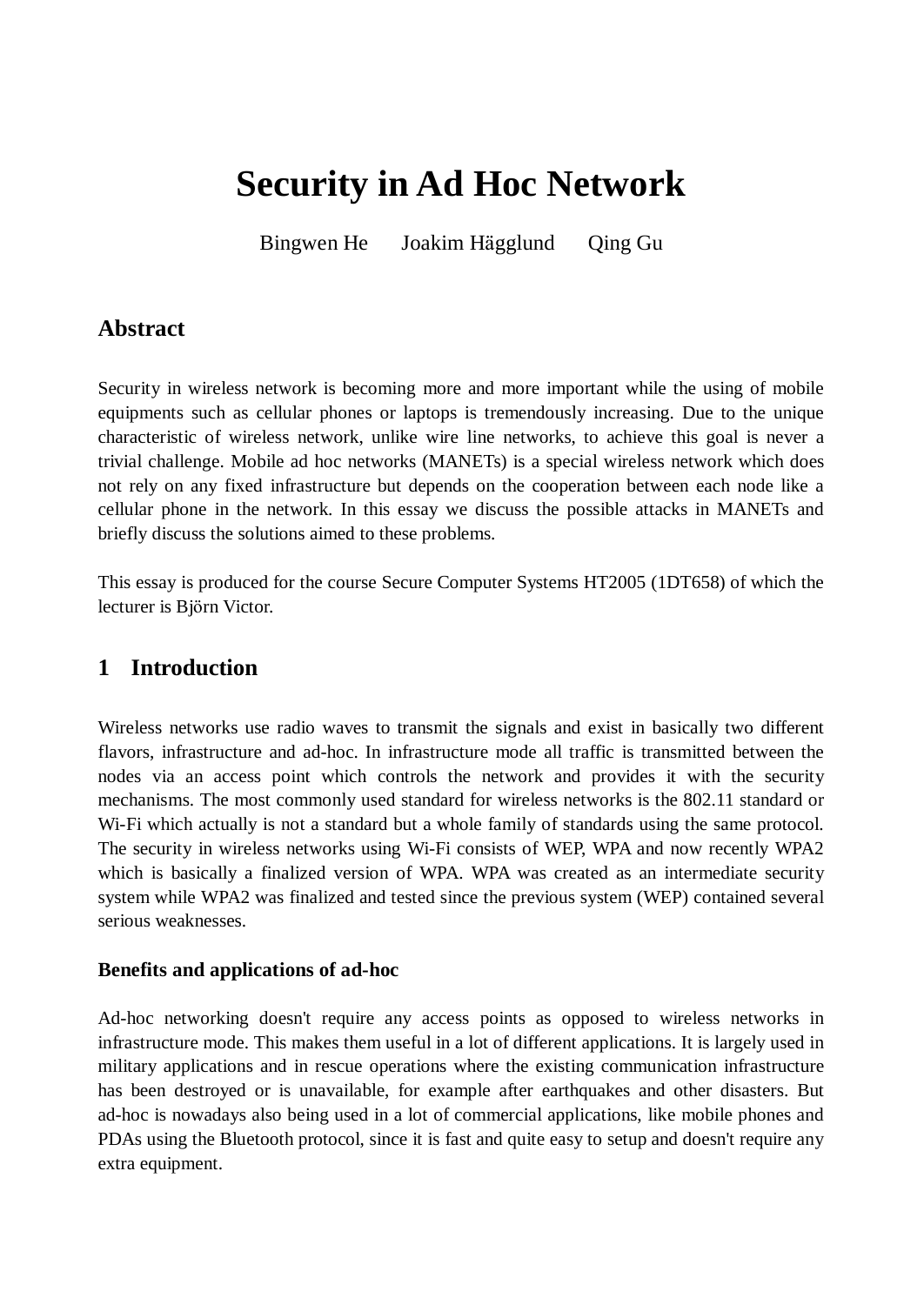# **Security in Ad Hoc Network**

Bingwen He Joakim Hägglund Qing Gu

## **Abstract**

Security in wireless network is becoming more and more important while the using of mobile equipments such as cellular phones or laptops is tremendously increasing. Due to the unique characteristic of wireless network, unlike wire line networks, to achieve this goal is never a trivial challenge. Mobile ad hoc networks (MANETs) is a special wireless network which does not rely on any fixed infrastructure but depends on the cooperation between each node like a cellular phone in the network. In this essay we discuss the possible attacks in MANETs and briefly discuss the solutions aimed to these problems.

This essay is produced for the course Secure Computer Systems HT2005 (1DT658) of which the lecturer is Björn Victor.

## **1 Introduction**

Wireless networks use radio waves to transmit the signals and exist in basically two different flavors, infrastructure and ad-hoc. In infrastructure mode all traffic is transmitted between the nodes via an access point which controls the network and provides it with the security mechanisms. The most commonly used standard for wireless networks is the 802.11 standard or Wi-Fi which actually is not a standard but a whole family of standards using the same protocol. The security in wireless networks using Wi-Fi consists of WEP, WPA and now recently WPA2 which is basically a finalized version of WPA. WPA was created as an intermediate security system while WPA2 was finalized and tested since the previous system (WEP) contained several serious weaknesses.

#### **Benefits and applications of ad-hoc**

Ad-hoc networking doesn't require any access points as opposed to wireless networks in infrastructure mode. This makes them useful in a lot of different applications. It is largely used in military applications and in rescue operations where the existing communication infrastructure has been destroyed or is unavailable, for example after earthquakes and other disasters. But ad-hoc is nowadays also being used in a lot of commercial applications, like mobile phones and PDAs using the Bluetooth protocol, since it is fast and quite easy to setup and doesn't require any extra equipment.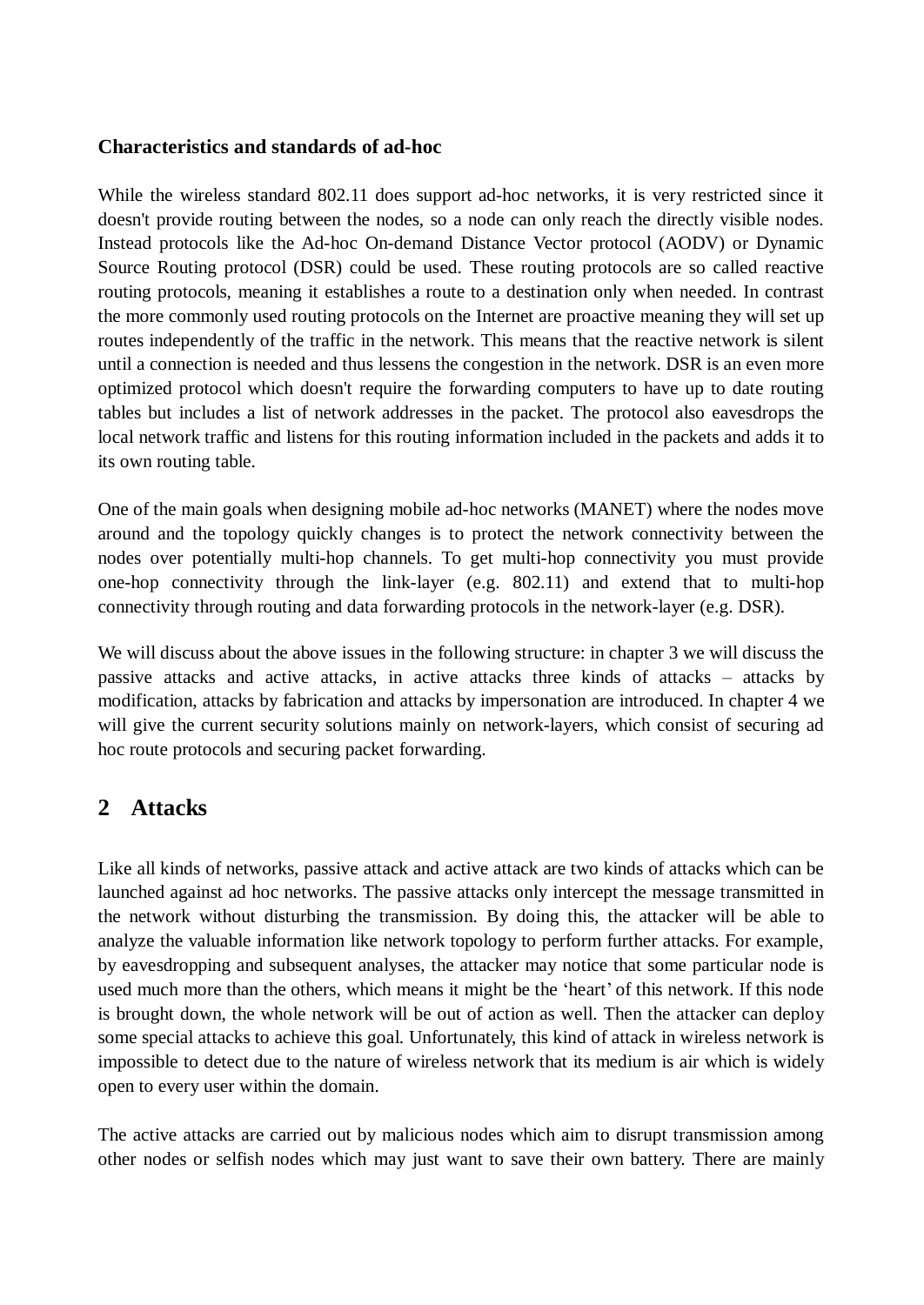#### **Characteristics and standards of ad-hoc**

While the wireless standard 802.11 does support ad-hoc networks, it is very restricted since it doesn't provide routing between the nodes, so a node can only reach the directly visible nodes. Instead protocols like the Ad-hoc On-demand Distance Vector protocol (AODV) or Dynamic Source Routing protocol (DSR) could be used. These routing protocols are so called reactive routing protocols, meaning it establishes a route to a destination only when needed. In contrast the more commonly used routing protocols on the Internet are proactive meaning they will set up routes independently of the traffic in the network. This means that the reactive network is silent until a connection is needed and thus lessens the congestion in the network. DSR is an even more optimized protocol which doesn't require the forwarding computers to have up to date routing tables but includes a list of network addresses in the packet. The protocol also eavesdrops the local network traffic and listens for this routing information included in the packets and adds it to its own routing table.

One of the main goals when designing mobile ad-hoc networks (MANET) where the nodes move around and the topology quickly changes is to protect the network connectivity between the nodes over potentially multi-hop channels. To get multi-hop connectivity you must provide one-hop connectivity through the link-layer (e.g. 802.11) and extend that to multi-hop connectivity through routing and data forwarding protocols in the network-layer (e.g. DSR).

We will discuss about the above issues in the following structure: in chapter 3 we will discuss the passive attacks and active attacks, in active attacks three kinds of attacks – attacks by modification, attacks by fabrication and attacks by impersonation are introduced. In chapter 4 we will give the current security solutions mainly on network-layers, which consist of securing ad hoc route protocols and securing packet forwarding.

## **2 Attacks**

Like all kinds of networks, passive attack and active attack are two kinds of attacks which can be launched against ad hoc networks. The passive attacks only intercept the message transmitted in the network without disturbing the transmission. By doing this, the attacker will be able to analyze the valuable information like network topology to perform further attacks. For example, by eavesdropping and subsequent analyses, the attacker may notice that some particular node is used much more than the others, which means it might be the 'heart' of this network. If this node is brought down, the whole network will be out of action as well. Then the attacker can deploy some special attacks to achieve this goal. Unfortunately, this kind of attack in wireless network is impossible to detect due to the nature of wireless network that its medium is air which is widely open to every user within the domain.

The active attacks are carried out by malicious nodes which aim to disrupt transmission among other nodes or selfish nodes which may just want to save their own battery. There are mainly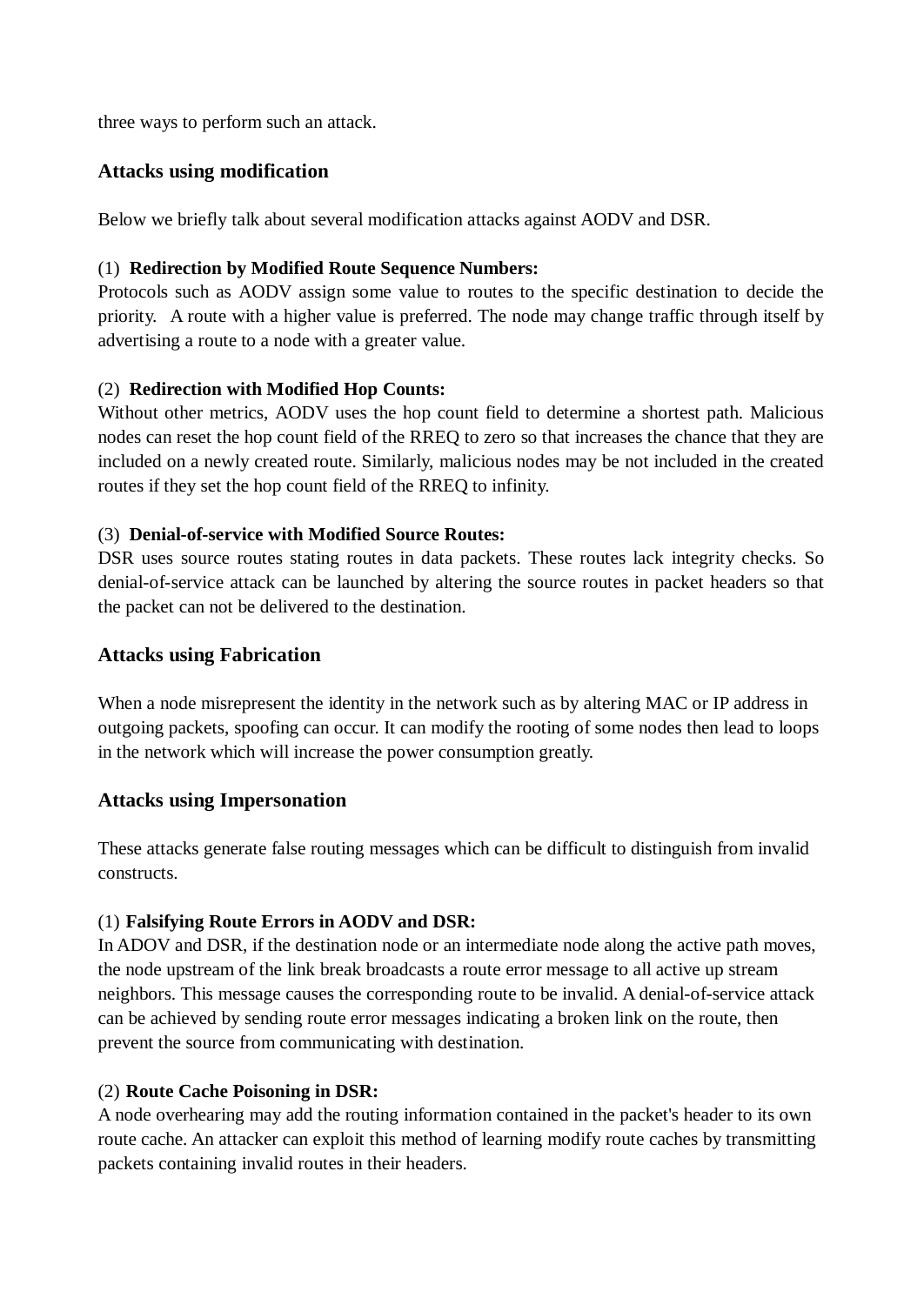three ways to perform such an attack.

#### **Attacks using modification**

Below we briefly talk about several modification attacks against AODV and DSR.

#### (1) **Redirection by Modified Route Sequence Numbers:**

Protocols such as AODV assign some value to routes to the specific destination to decide the priority. A route with a higher value is preferred. The node may change traffic through itself by advertising a route to a node with a greater value.

#### (2) **Redirection with Modified Hop Counts:**

Without other metrics, AODV uses the hop count field to determine a shortest path. Malicious nodes can reset the hop count field of the RREQ to zero so that increases the chance that they are included on a newly created route. Similarly, malicious nodes may be not included in the created routes if they set the hop count field of the RREQ to infinity.

#### (3) **Denial-of-service with Modified Source Routes:**

DSR uses source routes stating routes in data packets. These routes lack integrity checks. So denial-of-service attack can be launched by altering the source routes in packet headers so that the packet can not be delivered to the destination.

#### **Attacks using Fabrication**

When a node misrepresent the identity in the network such as by altering MAC or IP address in outgoing packets, spoofing can occur. It can modify the rooting of some nodes then lead to loops in the network which will increase the power consumption greatly.

#### **Attacks using Impersonation**

These attacks generate false routing messages which can be difficult to distinguish from invalid constructs.

#### (1) **Falsifying Route Errors in AODV and DSR:**

In ADOV and DSR, if the destination node or an intermediate node along the active path moves, the node upstream of the link break broadcasts a route error message to all active up stream neighbors. This message causes the corresponding route to be invalid. A denial-of-service attack can be achieved by sending route error messages indicating a broken link on the route, then prevent the source from communicating with destination.

#### (2) **Route Cache Poisoning in DSR:**

A node overhearing may add the routing information contained in the packet's header to its own route cache. An attacker can exploit this method of learning modify route caches by transmitting packets containing invalid routes in their headers.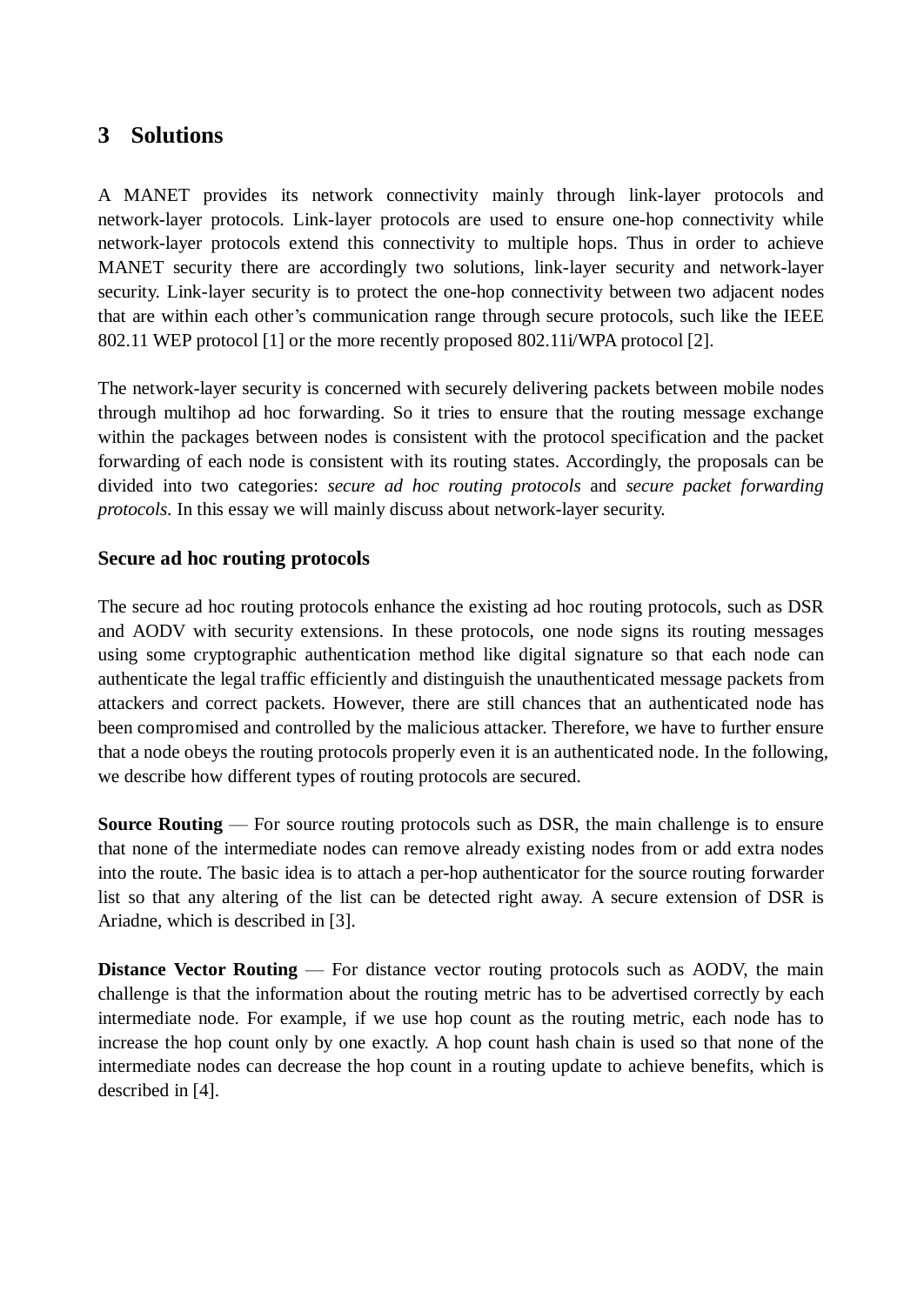## **3 Solutions**

A MANET provides its network connectivity mainly through link-layer protocols and network-layer protocols. Link-layer protocols are used to ensure one-hop connectivity while network-layer protocols extend this connectivity to multiple hops. Thus in order to achieve MANET security there are accordingly two solutions, link-layer security and network-layer security. Link-layer security is to protect the one-hop connectivity between two adjacent nodes that are within each other's communication range through secure protocols, such like the IEEE 802.11 WEP protocol [1] or the more recently proposed 802.11i/WPA protocol [2].

The network-layer security is concerned with securely delivering packets between mobile nodes through multihop ad hoc forwarding. So it tries to ensure that the routing message exchange within the packages between nodes is consistent with the protocol specification and the packet forwarding of each node is consistent with its routing states. Accordingly, the proposals can be divided into two categories: *secure ad hoc routing protocols* and *secure packet forwarding protocols*. In this essay we will mainly discuss about network-layer security.

#### **Secure ad hoc routing protocols**

The secure ad hoc routing protocols enhance the existing ad hoc routing protocols, such as DSR and AODV with security extensions. In these protocols, one node signs its routing messages using some cryptographic authentication method like digital signature so that each node can authenticate the legal traffic efficiently and distinguish the unauthenticated message packets from attackers and correct packets. However, there are still chances that an authenticated node has been compromised and controlled by the malicious attacker. Therefore, we have to further ensure that a node obeys the routing protocols properly even it is an authenticated node. In the following, we describe how different types of routing protocols are secured.

**Source Routing** — For source routing protocols such as DSR, the main challenge is to ensure that none of the intermediate nodes can remove already existing nodes from or add extra nodes into the route. The basic idea is to attach a per-hop authenticator for the source routing forwarder list so that any altering of the list can be detected right away. A secure extension of DSR is Ariadne, which is described in [3].

**Distance Vector Routing** — For distance vector routing protocols such as AODV, the main challenge is that the information about the routing metric has to be advertised correctly by each intermediate node. For example, if we use hop count as the routing metric, each node has to increase the hop count only by one exactly. A hop count hash chain is used so that none of the intermediate nodes can decrease the hop count in a routing update to achieve benefits, which is described in [4].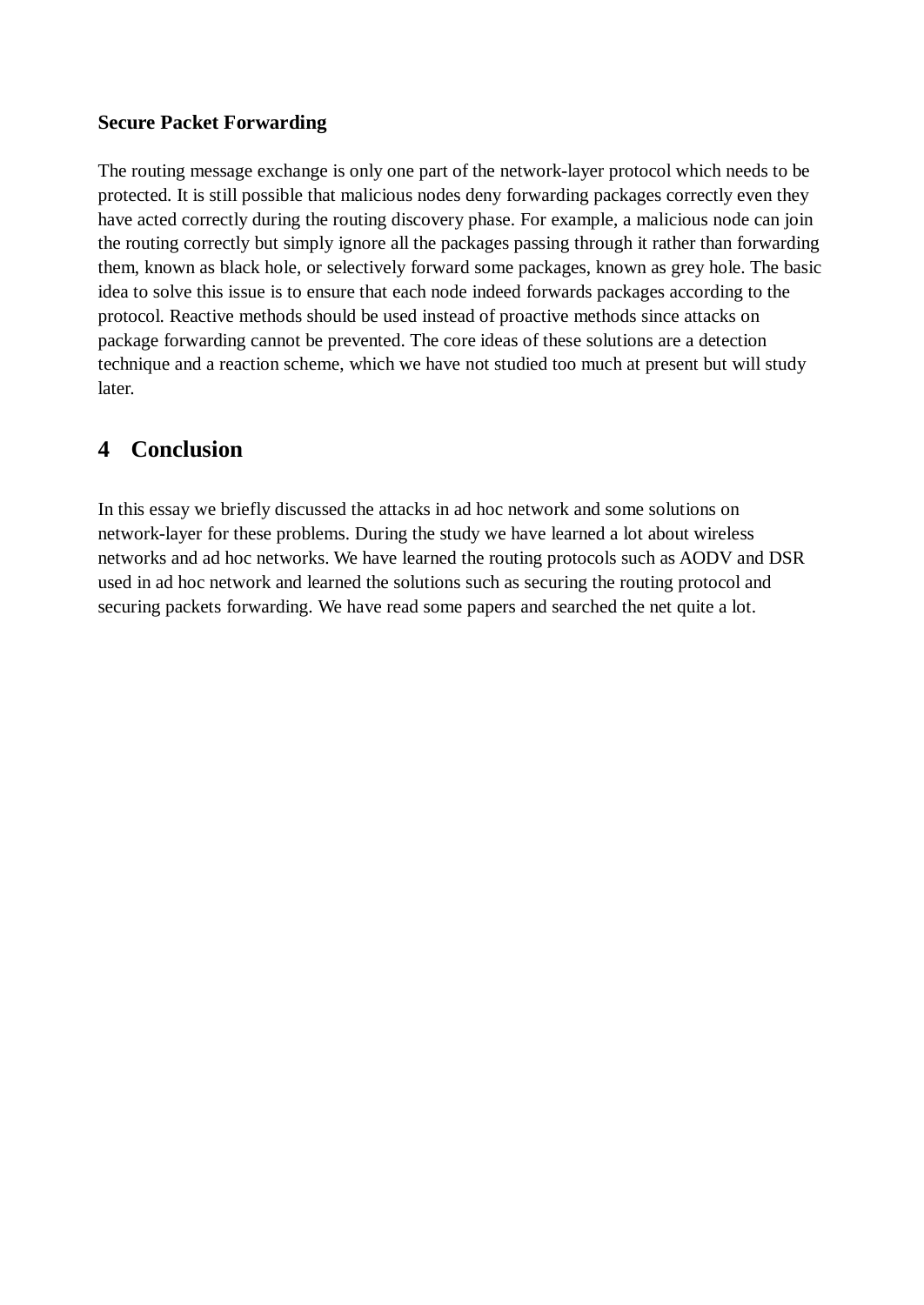#### **Secure Packet Forwarding**

The routing message exchange is only one part of the network-layer protocol which needs to be protected. It is still possible that malicious nodes deny forwarding packages correctly even they have acted correctly during the routing discovery phase. For example, a malicious node can join the routing correctly but simply ignore all the packages passing through it rather than forwarding them, known as black hole, or selectively forward some packages, known as grey hole. The basic idea to solve this issue is to ensure that each node indeed forwards packages according to the protocol. Reactive methods should be used instead of proactive methods since attacks on package forwarding cannot be prevented. The core ideas of these solutions are a detection technique and a reaction scheme, which we have not studied too much at present but will study later.

# **4 Conclusion**

In this essay we briefly discussed the attacks in ad hoc network and some solutions on network-layer for these problems. During the study we have learned a lot about wireless networks and ad hoc networks. We have learned the routing protocols such as AODV and DSR used in ad hoc network and learned the solutions such as securing the routing protocol and securing packets forwarding. We have read some papers and searched the net quite a lot.